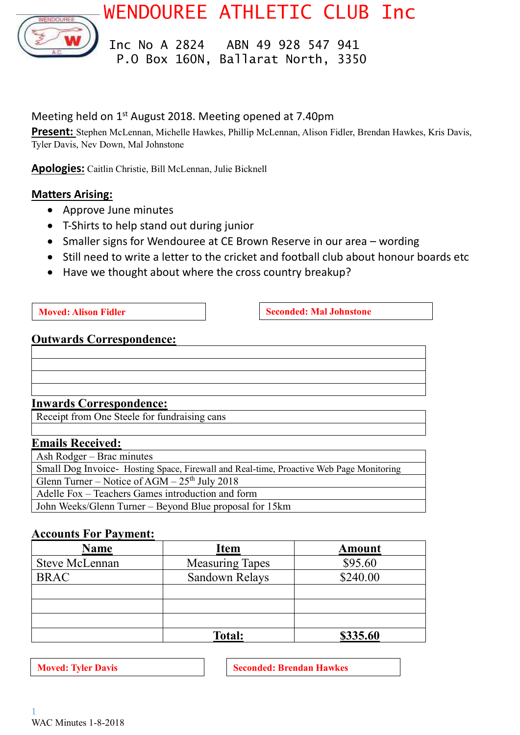WENDOUREE ATHLETIC CLUB Inc



 Inc No A 2824 ABN 49 928 547 941 P.O Box 160N, Ballarat North, 3350

## Meeting held on 1<sup>st</sup> August 2018. Meeting opened at 7.40pm

**Present:** Stephen McLennan, Michelle Hawkes, Phillip McLennan, Alison Fidler, Brendan Hawkes, Kris Davis, Tyler Davis, Nev Down, Mal Johnstone

**Apologies:** Caitlin Christie, Bill McLennan, Julie Bicknell

### **Matters Arising:**

- Approve June minutes
- T-Shirts to help stand out during junior
- Smaller signs for Wendouree at CE Brown Reserve in our area wording
- Still need to write a letter to the cricket and football club about honour boards etc
- Have we thought about where the cross country breakup?

**Moved: Alison Fidler Seconded: Mal Johnstone** 

### **Outwards Correspondence:**

### **Inwards Correspondence:**

Receipt from One Steele for fundraising cans

### **Emails Received:**

Ash Rodger – Brac minutes Small Dog Invoice- Hosting Space, Firewall and Real-time, Proactive Web Page Monitoring Glenn Turner – Notice of  $AGM - 25<sup>th</sup>$  July 2018 Adelle Fox – Teachers Games introduction and form John Weeks/Glenn Turner – Beyond Blue proposal for 15km

### **Accounts For Payment:**

| <b>Name</b>           | <b>Item</b>            | <b>Amount</b> |
|-----------------------|------------------------|---------------|
| <b>Steve McLennan</b> | <b>Measuring Tapes</b> | \$95.60       |
| <b>BRAC</b>           | Sandown Relays         | \$240.00      |
|                       |                        |               |
|                       |                        |               |
|                       |                        |               |
|                       | <b>Total:</b>          | \$335.60      |

**Moved:** Tyler Davis **Seconded:** Seconded: Brendan Hawkes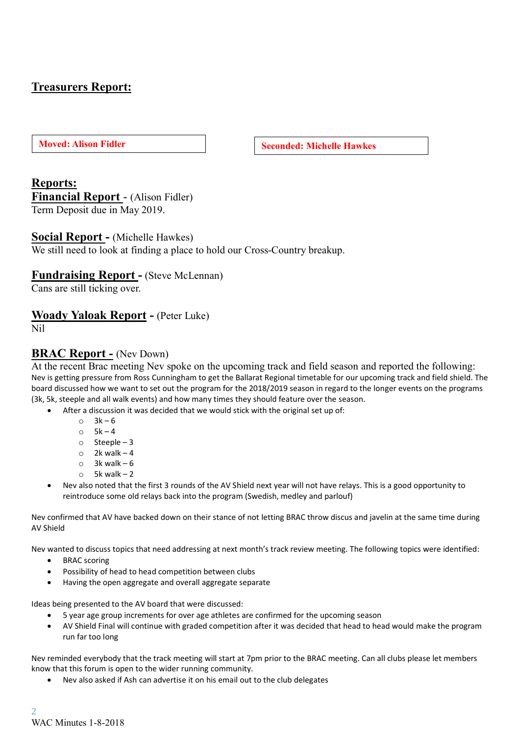# **Treasurers Report:**

**Moved: Alison Fidler Seconded: Michelle Hawkes**

### **Reports:**

**Financial Report** - (Alison Fidler) Term Deposit due in May 2019.

#### **Social Report -** (Michelle Hawkes)

We still need to look at finding a place to hold our Cross-Country breakup.

#### **Fundraising Report -** (Steve McLennan)

Cans are still ticking over.

#### **Woady Yaloak Report -** (Peter Luke)

Nil

#### **BRAC Report -** (Nev Down)

At the recent Brac meeting Nev spoke on the upcoming track and field season and reported the following: Nev is getting pressure from Ross Cunningham to get the Ballarat Regional timetable for our upcoming track and field shield. The board discussed how we want to set out the program for the 2018/2019 season in regard to the longer events on the programs (3k, 5k, steeple and all walk events) and how many times they should feature over the season.

- After a discussion it was decided that we would stick with the original set up of:
	- $\circ$  3k 6
	- $\circ$  5k 4
	- o Steeple 3
	- $\circ$  2k walk 4
	- $\circ$  3k walk 6
	- $\circ$  5k walk 2
	- Nev also noted that the first 3 rounds of the AV Shield next year will not have relays. This is a good opportunity to reintroduce some old relays back into the program (Swedish, medley and parlouf)

Nev confirmed that AV have backed down on their stance of not letting BRAC throw discus and javelin at the same time during AV Shield

Nev wanted to discuss topics that need addressing at next month's track review meeting. The following topics were identified:

- BRAC scoring
- Possibility of head to head competition between clubs
- Having the open aggregate and overall aggregate separate

Ideas being presented to the AV board that were discussed:

- 5 year age group increments for over age athletes are confirmed for the upcoming season
- AV Shield Final will continue with graded competition after it was decided that head to head would make the program run far too long

Nev reminded everybody that the track meeting will start at 7pm prior to the BRAC meeting. Can all clubs please let members know that this forum is open to the wider running community.

• Nev also asked if Ash can advertise it on his email out to the club delegates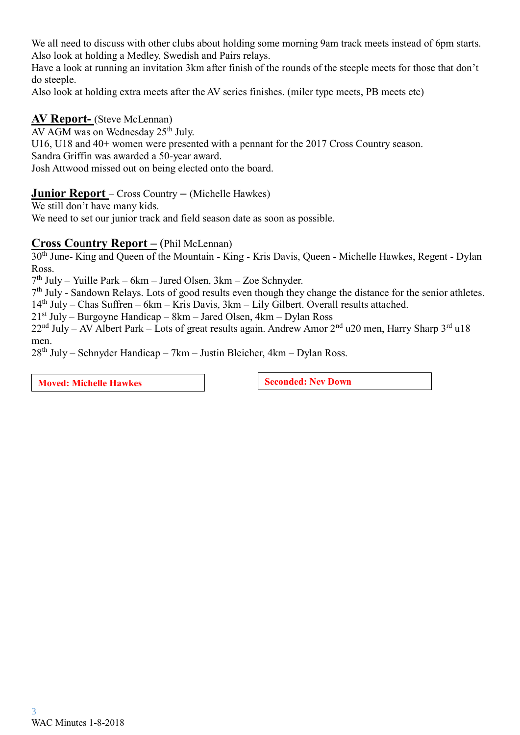We all need to discuss with other clubs about holding some morning 9am track meets instead of 6pm starts. Also look at holding a Medley, Swedish and Pairs relays.

Have a look at running an invitation 3km after finish of the rounds of the steeple meets for those that don't do steeple.

Also look at holding extra meets after the AV series finishes. (miler type meets, PB meets etc)

### **AV Report-** (Steve McLennan)

AV AGM was on Wednesday  $25<sup>th</sup>$  July.

U16, U18 and 40+ women were presented with a pennant for the 2017 Cross Country season.

Sandra Griffin was awarded a 50-year award.

Josh Attwood missed out on being elected onto the board.

### **Junior Report** – Cross Country **–** (Michelle Hawkes)

We still don't have many kids.

We need to set our junior track and field season date as soon as possible.

### **Cross Co**u**ntry Report –** (Phil McLennan)

30th June- King and Queen of the Mountain - King - Kris Davis, Queen - Michelle Hawkes, Regent - Dylan Ross.

7 th July – Yuille Park – 6km – Jared Olsen, 3km – Zoe Schnyder.

7<sup>th</sup> July - Sandown Relays. Lots of good results even though they change the distance for the senior athletes.

 $14<sup>th</sup>$  July – Chas Suffren – 6km – Kris Davis, 3km – Lily Gilbert. Overall results attached.

 $21<sup>st</sup>$  July – Burgoyne Handicap – 8km – Jared Olsen, 4km – Dylan Ross

22<sup>nd</sup> July – AV Albert Park – Lots of great results again. Andrew Amor 2<sup>nd</sup> u20 men, Harry Sharp 3<sup>rd</sup> u18 men.

 $28<sup>th</sup>$  July – Schnyder Handicap – 7km – Justin Bleicher, 4km – Dylan Ross.

**Moved:** Michelle Hawkes **Seconded:** Nev Down